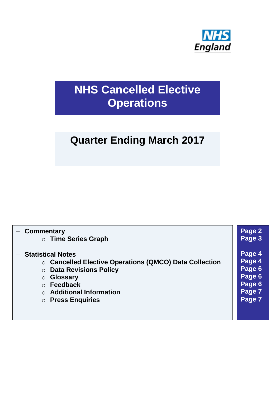

# **NHS Cancelled Elective Operations**

# **Quarter Ending March 2017**

| - Commentary                                                                                                                                                                                                                                 | Page 2                                                             |
|----------------------------------------------------------------------------------------------------------------------------------------------------------------------------------------------------------------------------------------------|--------------------------------------------------------------------|
| $\circ$ Time Series Graph                                                                                                                                                                                                                    | Page 3                                                             |
| <b>Statistical Notes</b><br>○ Cancelled Elective Operations (QMCO) Data Collection<br><b>O Data Revisions Policy</b><br><b>Glossary</b><br>$\circ$<br>$\circ$ Feedback<br><b>Additional Information</b><br><b>Press Enquiries</b><br>$\circ$ | Page 4<br>Page 4<br>Page 6<br>Page 6<br>Page 6<br>Page 7<br>Page 7 |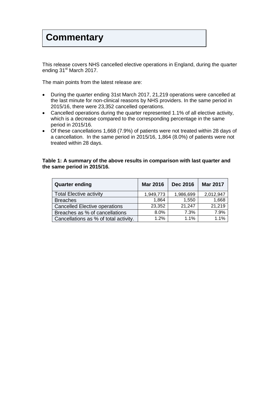## **Commentary**

This release covers NHS cancelled elective operations in England, during the quarter ending 31<sup>st</sup> March 2017.

The main points from the latest release are:

- During the quarter ending 31st March 2017, 21,219 operations were cancelled at the last minute for non-clinical reasons by NHS providers. In the same period in 2015/16, there were 23,352 cancelled operations.
- Cancelled operations during the quarter represented 1.1% of all elective activity, which is a decrease compared to the corresponding percentage in the same period in 2015/16.
- Of these cancellations 1,668 (7.9%) of patients were not treated within 28 days of a cancellation. In the same period in 2015/16, 1,864 (8.0%) of patients were not treated within 28 days.

#### **Table 1: A summary of the above results in comparison with last quarter and the same period in 2015/16.**

<span id="page-1-0"></span>

| <b>Quarter ending</b>                 | <b>Mar 2016</b> | <b>Dec 2016</b> | <b>Mar 2017</b> |
|---------------------------------------|-----------------|-----------------|-----------------|
| <b>Total Elective activity</b>        | 1,949,773       | 1,986,699       | 2,012,947       |
| <b>Breaches</b>                       | 1,864           | 1,550           | 1,668           |
| <b>Cancelled Elective operations</b>  | 23,352          | 21,247          | 21,219          |
| Breaches as % of cancellations        | 8.0%            | 7.3%            | 7.9%            |
| Cancellations as % of total activity. | 1.2%            | 1.1%            | 1.1%            |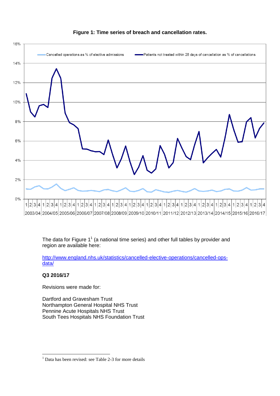

#### <span id="page-2-0"></span>**Figure 1: Time series of breach and cancellation rates.**

The data for Figure  $1^1$  (a national time series) and other full tables by provider and region are available here:

[http://www.england.nhs.uk/statistics/cancelled-elective-operations/cancelled-ops](http://www.england.nhs.uk/statistics/cancelled-elective-operations/cancelled-ops-data/)[data/](http://www.england.nhs.uk/statistics/cancelled-elective-operations/cancelled-ops-data/)

#### **Q3 2016/17**

1

Revisions were made for:

Dartford and Gravesham Trust Northampton General Hospital NHS Trust Pennine Acute Hospitals NHS Trust South Tees Hospitals NHS Foundation Trust

 $<sup>1</sup>$  Data has been revised: see Table 2-3 for more details</sup>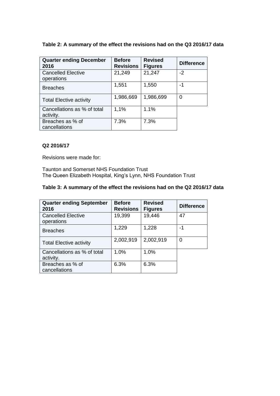#### **Table 2: A summary of the effect the revisions had on the Q3 2016/17 data**

| <b>Quarter ending December</b><br>2016   | <b>Before</b><br><b>Revisions</b> | <b>Revised</b><br><b>Figures</b> | <b>Difference</b> |
|------------------------------------------|-----------------------------------|----------------------------------|-------------------|
| <b>Cancelled Elective</b>                | 21,249                            | 21,247                           | $-2$              |
| operations                               |                                   |                                  |                   |
| <b>Breaches</b>                          | 1,551                             | 1,550                            | -1                |
| <b>Total Elective activity</b>           | 1,986,669                         | 1,986,699                        | 0                 |
| Cancellations as % of total<br>activity. | 1,1%                              | 1.1%                             |                   |
| Breaches as % of<br>cancellations        | 7.3%                              | 7.3%                             |                   |

#### **Q2 2016/17**

Revisions were made for:

Taunton and Somerset NHS Foundation Trust The Queen Elizabeth Hospital, King's Lynn, NHS Foundation Trust

#### **Table 3: A summary of the effect the revisions had on the Q2 2016/17 data**

| <b>Quarter ending September</b><br>2016 | <b>Before</b><br><b>Revisions</b> | <b>Revised</b><br><b>Figures</b> | <b>Difference</b> |
|-----------------------------------------|-----------------------------------|----------------------------------|-------------------|
| <b>Cancelled Elective</b>               | 19,399                            | 19,446                           | 47                |
| operations                              |                                   |                                  |                   |
| <b>Breaches</b>                         | 1,229                             | 1,228                            | -1                |
| <b>Total Elective activity</b>          | 2,002,919                         | 2,002,919                        | 0                 |
| Cancellations as % of total             | 1.0%                              | 1.0%                             |                   |
| activity.                               |                                   |                                  |                   |
| Breaches as % of                        | 6.3%                              | 6.3%                             |                   |
| cancellations                           |                                   |                                  |                   |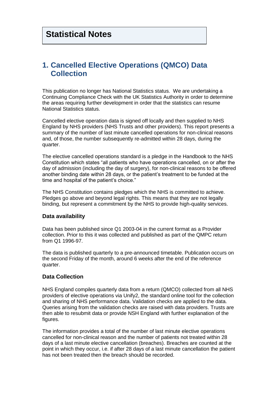## <span id="page-4-1"></span><span id="page-4-0"></span>**1. Cancelled Elective Operations (QMCO) Data Collection**

This publication no longer has National Statistics status. We are undertaking a Continuing Compliance Check with the UK Statistics Authority in order to determine the areas requiring further development in order that the statistics can resume National Statistics status.

Cancelled elective operation data is signed off locally and then supplied to NHS England by NHS providers (NHS Trusts and other providers). This report presents a summary of the number of last minute cancelled operations for non-clinical reasons and, of those, the number subsequently re-admitted within 28 days, during the quarter.

The elective cancelled operations standard is a pledge in the Handbook to the NHS Constitution which states "all patients who have operations cancelled, on or after the day of admission (including the day of surgery), for non-clinical reasons to be offered another binding date within 28 days, or the patient's treatment to be funded at the time and hospital of the patient's choice."

The NHS Constitution contains pledges which the NHS is committed to achieve. Pledges go above and beyond legal rights. This means that they are not legally binding, but represent a commitment by the NHS to provide high-quality services.

#### **Data availability**

Data has been published since Q1 2003-04 in the current format as a Provider collection. Prior to this it was collected and published as part of the QMPC return from Q1 1996-97.

The data is published quarterly to a pre-announced timetable. Publication occurs on the second Friday of the month, around 6 weeks after the end of the reference quarter.

#### **Data Collection**

NHS England compiles quarterly data from a return (QMCO) collected from all NHS providers of elective operations via Unify2, the standard online tool for the collection and sharing of NHS performance data. Validation checks are applied to the data. Queries arising from the validation checks are raised with data providers. Trusts are then able to resubmit data or provide NSH England with further explanation of the figures.

The information provides a total of the number of last minute elective operations cancelled for non-clinical reason and the number of patients not treated within 28 days of a last minute elective cancellation (breaches). Breaches are counted at the point in which they occur, i.e. if after 28 days of a last minute cancellation the patient has not been treated then the breach should be recorded.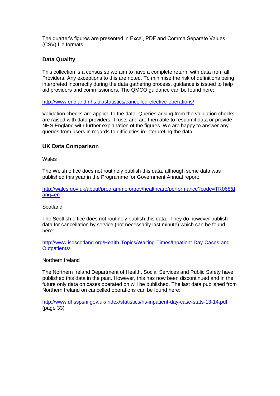The quarter's figures are presented in Excel, PDF and Comma Separate Values (CSV) file formats.

#### **Data Quality**

This collection is a census so we aim to have a complete return, with data from all Providers. Any exceptions to this are noted. To minimise the risk of definitions being interpreted incorrectly during the data gathering process, guidance is issued to help aid providers and commissioners. The QMCO guidance can be found here:

<http://www.england.nhs.uk/statistics/cancelled-elective-operations/>

Validation checks are applied to the data. Queries arising from the validation checks are raised with data providers. Trusts and are then able to resubmit data or provide NHS England with further explanation of the figures. We are happy to answer any queries from users in regards to difficulties in interpreting the data.

#### **UK Data Comparison**

Wales

The Welsh office does not routinely publish this data, although some data was published this year in the Programme for Government Annual report:

[http://wales.gov.uk/about/programmeforgov/healthcare/performance?code=TR068&l](http://wales.gov.uk/about/programmeforgov/healthcare/performance?code=TR068&lang=en) [ang=en](http://wales.gov.uk/about/programmeforgov/healthcare/performance?code=TR068&lang=en)

#### **Scotland**

The Scottish office does not routinely publish this data. They do however publish data for cancellation by service (not necessarily last minute) which can be found here:

[http://www.isdscotland.org/Health-Topics/Waiting-Times/Inpatient-Day-Cases-and-](http://www.isdscotland.org/Health-Topics/Waiting-Times/Inpatient-Day-Cases-and-Outpatients/)[Outpatients/](http://www.isdscotland.org/Health-Topics/Waiting-Times/Inpatient-Day-Cases-and-Outpatients/)

#### Northern Ireland

The Northern Ireland Department of Health, Social Services and Public Safety have published this data in the past. However, this has now been discontinued and in the future only data on cases operated on will be published. The last data published from Northern Ireland on cancelled operations can be found here:

<span id="page-5-0"></span>http://www.dhsspsni.gov.uk/index/statistics/hs-inpatient-day-case-stats-13-14.pdf (page 33)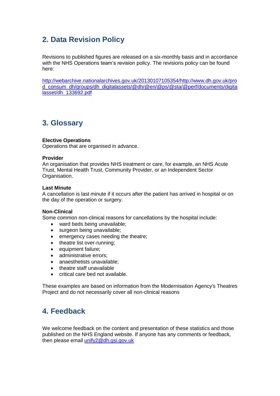## **2. Data Revision Policy**

Revisions to published figures are released on a six-monthly basis and in accordance with the NHS Operations team's revision policy. The revisions policy can be found here:

[http://webarchive.nationalarchives.gov.uk/20130107105354/http://www.dh.gov.uk/pro](http://webarchive.nationalarchives.gov.uk/20130107105354/http:/www.dh.gov.uk/prod_consum_dh/groups/dh_digitalassets/@dh/@en/@ps/@sta/@perf/documents/digitalasset/dh_133692.pdf) [d\\_consum\\_dh/groups/dh\\_digitalassets/@dh/@en/@ps/@sta/@perf/documents/digita](http://webarchive.nationalarchives.gov.uk/20130107105354/http:/www.dh.gov.uk/prod_consum_dh/groups/dh_digitalassets/@dh/@en/@ps/@sta/@perf/documents/digitalasset/dh_133692.pdf) [lasset/dh\\_133692.pdf](http://webarchive.nationalarchives.gov.uk/20130107105354/http:/www.dh.gov.uk/prod_consum_dh/groups/dh_digitalassets/@dh/@en/@ps/@sta/@perf/documents/digitalasset/dh_133692.pdf)

## <span id="page-6-0"></span>**3. Glossary**

#### **Elective Operations**

Operations that are organised in advance.

#### **Provider**

An organisation that provides NHS treatment or care, for example, an NHS Acute Trust, Mental Health Trust, Community Provider, or an Independent Sector Organisation.

#### **Last Minute**

A cancellation is last minute if it occurs after the patient has arrived in hospital or on the day of the operation or surgery.

#### **Non-Clinical**

Some common non-clinical reasons for cancellations by the hospital include:

- ward beds being unavailable;
- surgeon being unavailable;
- emergency cases needing the theatre;
- theatre list over-running;
- equipment failure;
- administrative errors:
- anaesthetists unavailable;
- theatre staff unavailable
- <span id="page-6-1"></span>critical care bed not available.

These examples are based on information from the Modernisation Agency's Theatres Project and do not necessarily cover all non-clinical reasons

## **4. Feedback**

<span id="page-6-2"></span>We welcome feedback on the content and presentation of these statistics and those published on the NHS England website. If anyone has any comments or feedback, then please email [unify2@dh.gsi.gov.uk](mailto:unify2@dh.gsi.gov.uk)